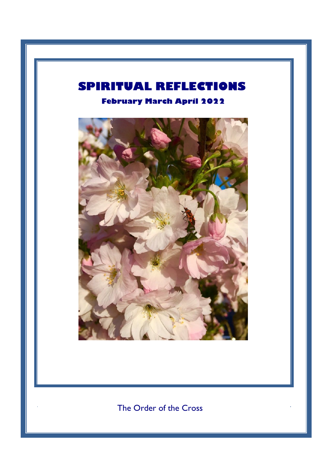# **SPIRITUAL REFLECTIONS**

**February March April 2022**



# The Order of the Cross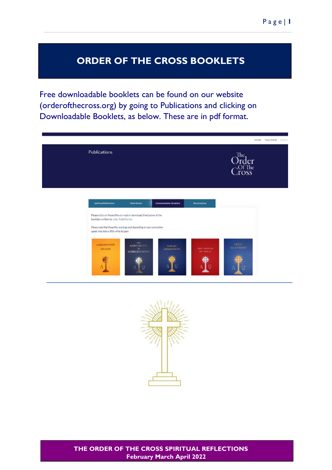# **ORDER OF THE CROSS BOOKLETS**

Free downloadable booklets can be found on our website (orderofthecross.org) by going to Publications and clicking on Downloadable Booklets, as below. These are in pdf format.





 **THE ORDER OF THE CROSS SPIRITUAL REFLECTIONS February March April 2022**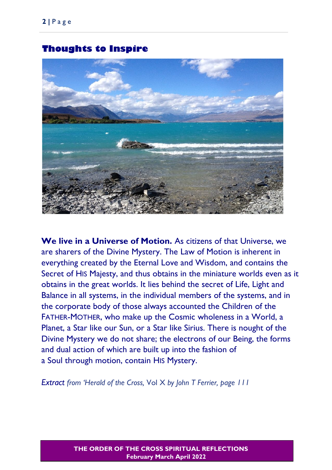#### **Thoughts to Inspire**



**We live in a Universe of Motion.** As citizens of that Universe, we are sharers of the Divine Mystery. The Law of Motion is inherent in everything created by the Eternal Love and Wisdom, and contains the Secret of HIS Majesty, and thus obtains in the miniature worlds even as it obtains in the great worlds. It lies behind the secret of Life, Light and Balance in all systems, in the individual members of the systems, and in the corporate body of those always accounted the Children of the FATHER-MOTHER, who make up the Cosmic wholeness in a World, a Planet, a Star like our Sun, or a Star like Sirius. There is nought of the Divine Mystery we do not share; the electrons of our Being, the forms and dual action of which are built up into the fashion of a Soul through motion, contain HIS Mystery.

*Extract from 'Herald of the Cross,* Vol X *by John T Ferrier, page 111*

#### **THE ORDER OF THE CROSS SPIRITUAL REFLECTIONS February March April 2022**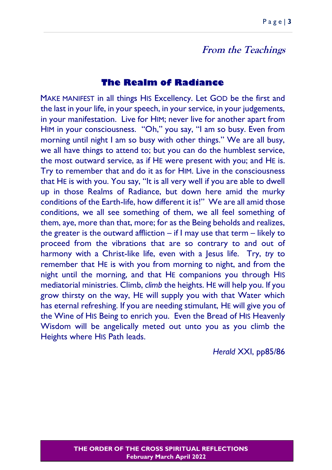# **From the Teachings**

#### **The Realm of Radiance**

MAKE MANIFEST in all things HIS Excellency. Let GOD be the first and the last in your life, in your speech, in your service, in your judgements, in your manifestation. Live for HIM; never live for another apart from HIM in your consciousness. "Oh," you say, "I am so busy. Even from morning until night I am so busy with other things." We are all busy, we all have things to attend to; but you can do the humblest service, the most outward service, as if HE were present with you; and HE is. Try to remember that and do it as for HIM. Live in the consciousness that HE is with you. You say, "It is all very well if you are able to dwell up in those Realms of Radiance, but down here amid the murky conditions of the Earth-life, how different it is!" We are all amid those conditions, we all see something of them, we all feel something of them, aye, more than that, more; for as the Being beholds and realizes, the greater is the outward affliction – if I may use that term – likely to proceed from the vibrations that are so contrary to and out of harmony with a Christ-like life, even with a Jesus life. Try, *try* to remember that HE is with you from morning to night, and from the night until the morning, and that HE companions you through HIS mediatorial ministries. Climb, *climb* the heights. HE will help you. If you grow thirsty on the way, HE will supply you with that Water which has eternal refreshing. If you are needing stimulant, HE will give you of the Wine of HIS Being to enrich you. Even the Bread of HIS Heavenly Wisdom will be angelically meted out unto you as you climb the Heights where HIS Path leads.

 *Herald* XXI, pp85/86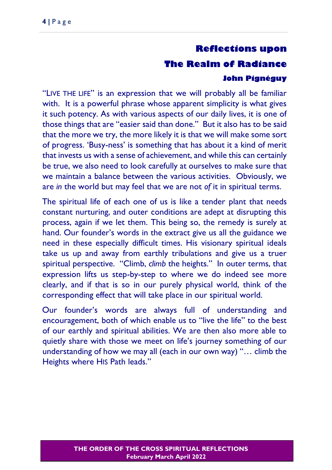### **Reflections upon**

### **The Realm of Radiance**

#### **John Pignéguy**

"LIVE THE LIFE" is an expression that we will probably all be familiar with. It is a powerful phrase whose apparent simplicity is what gives it such potency. As with various aspects of our daily lives, it is one of those things that are "easier said than done." But it also has to be said that the more we try, the more likely it is that we will make some sort of progress. 'Busy-ness' is something that has about it a kind of merit that invests us with a sense of achievement, and while this can certainly be true, we also need to look carefully at ourselves to make sure that we maintain a balance between the various activities. Obviously, we are *in* the world but may feel that we are not *of* it in spiritual terms.

The spiritual life of each one of us is like a tender plant that needs constant nurturing, and outer conditions are adept at disrupting this process, again if we let them. This being so, the remedy is surely at hand. Our founder's words in the extract give us all the guidance we need in these especially difficult times. His visionary spiritual ideals take us up and away from earthly tribulations and give us a truer spiritual perspective. "Climb, *climb* the heights." In outer terms, that expression lifts us step-by-step to where we do indeed see more clearly, and if that is so in our purely physical world, think of the corresponding effect that will take place in our spiritual world.

Our founder's words are always full of understanding and encouragement, both of which enable us to "live the life" to the best of our earthly and spiritual abilities. We are then also more able to quietly share with those we meet on life's journey something of our understanding of how we may all (each in our own way) "… climb the Heights where HIS Path leads."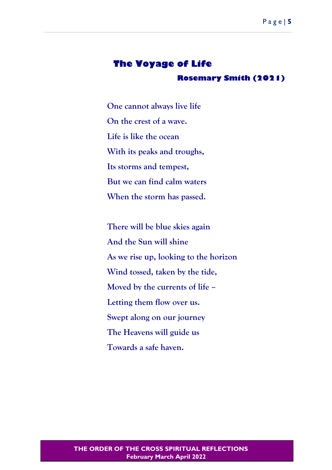# **The Voyage of Life Rosemary Smith (2021)**

**One cannot always live life On the crest of a wave. Life is like the ocean With its peaks and troughs, Its storms and tempest, But we can find calm waters When the storm has passed.**

**There will be blue skies again And the Sun will shine As we rise up, looking to the horizon Wind tossed, taken by the tide, Moved by the currents of life – Letting them flow over us. Swept along on our journey The Heavens will guide us Towards a safe haven.**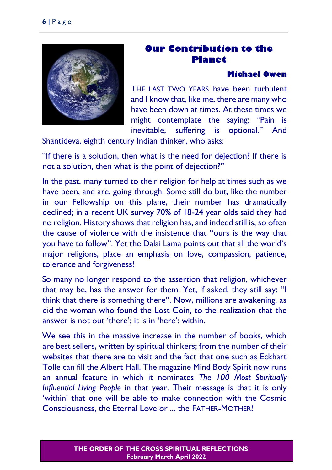

# **Our Contribution to the Planet**

#### **Michael Owen**

THE LAST TWO YEARS have been turbulent and I know that, like me, there are many who have been down at times. At these times we might contemplate the saying: "Pain is inevitable, suffering is optional." And

Shantideva, eighth century Indian thinker, who asks:

"If there is a solution, then what is the need for dejection? If there is not a solution, then what is the point of dejection?"

In the past, many turned to their religion for help at times such as we have been, and are, going through. Some still do but, like the number in our Fellowship on this plane, their number has dramatically declined; in a recent UK survey 70% of 18-24 year olds said they had no religion. History shows that religion has, and indeed still is, so often the cause of violence with the insistence that "ours is the way that you have to follow". Yet the Dalai Lama points out that all the world's major religions, place an emphasis on love, compassion, patience, tolerance and forgiveness!

So many no longer respond to the assertion that religion, whichever that may be, has the answer for them. Yet, if asked, they still say: "I think that there is something there". Now, millions are awakening, as did the woman who found the Lost Coin, to the realization that the answer is not out 'there'; it is in 'here': within.

We see this in the massive increase in the number of books, which are best sellers, written by spiritual thinkers; from the number of their websites that there are to visit and the fact that one such as Eckhart Tolle can fill the Albert Hall. The magazine Mind Body Spirit now runs an annual feature in which it nominates *The 100 Most Spiritually Influential Living People* in that year. Their message is that it is only 'within' that one will be able to make connection with the Cosmic Consciousness, the Eternal Love or ... the FATHER-MOTHER!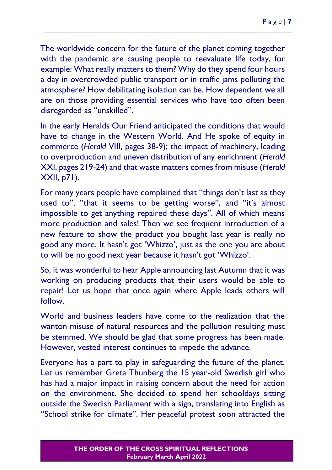The worldwide concern for the future of the planet coming together with the pandemic are causing people to reevaluate life today, for example: What really matters to them? Why do they spend four hours a day in overcrowded public transport or in traffic jams polluting the atmosphere? How debilitating isolation can be. How dependent we all are on those providing essential services who have too often been disregarded as "unskilled".

In the early Heralds Our Friend anticipated the conditions that would have to change in the Western World. And He spoke of equity in commerce (*Herald* VIII, pages 38-9); the impact of machinery, leading to overproduction and uneven distribution of any enrichment (*Herald* XXI, pages 219-24) and that waste matters comes from misuse (*Herald* XXII, p71).

For many years people have complained that "things don't last as they used to", "that it seems to be getting worse", and "it's almost impossible to get anything repaired these days". All of which means more production and sales! Then we see frequent introduction of a new feature to show the product you bought last year is really no good any more. It hasn't got 'Whizzo', just as the one you are about to will be no good next year because it hasn't got 'Whizzo'.

So, it was wonderful to hear Apple announcing last Autumn that it was working on producing products that their users would be able to repair! Let us hope that once again where Apple leads others will follow.

World and business leaders have come to the realization that the wanton misuse of natural resources and the pollution resulting must be stemmed. We should be glad that some progress has been made. However, vested interest continues to impede the advance.

Everyone has a part to play in safeguarding the future of the planet. Let us remember Greta Thunberg the 15 year-old Swedish girl who has had a major impact in raising concern about the need for action on the environment. She decided to spend her schooldays sitting outside the Swedish Parliament with a sign, translating into English as "School strike for climate". Her peaceful protest soon attracted the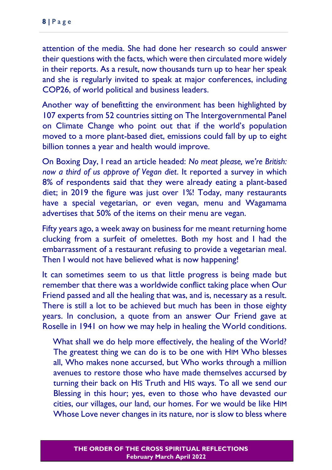attention of the media. She had done her research so could answer their questions with the facts, which were then circulated more widely in their reports. As a result, now thousands turn up to hear her speak and she is regularly invited to speak at major conferences, including COP26, of world political and business leaders.

Another way of benefitting the environment has been highlighted by 107 experts from 52 countries sitting on The Intergovernmental Panel on Climate Change who point out that if the world's population moved to a more plant-based diet, emissions could fall by up to eight billion tonnes a year and health would improve.

On Boxing Day, I read an article headed: *No meat please, we're British: now a third of us approve of Vegan diet*. It reported a survey in which 8% of respondents said that they were already eating a plant-based diet; in 2019 the figure was just over 1%! Today, many restaurants have a special vegetarian, or even vegan, menu and Wagamama advertises that 50% of the items on their menu are vegan.

Fifty years ago, a week away on business for me meant returning home clucking from a surfeit of omelettes. Both my host and I had the embarrassment of a restaurant refusing to provide a vegetarian meal. Then I would not have believed what is now happening!

It can sometimes seem to us that little progress is being made but remember that there was a worldwide conflict taking place when Our Friend passed and all the healing that was, and is, necessary as a result. There is still a lot to be achieved but much has been in those eighty years. In conclusion, a quote from an answer Our Friend gave at Roselle in 1941 on how we may help in healing the World conditions.

What shall we do help more effectively, the healing of the World? The greatest thing we can do is to be one with HIM Who blesses all, Who makes none accursed, but Who works through a million avenues to restore those who have made themselves accursed by turning their back on HIS Truth and HIS ways. To all we send our Blessing in this hour; yes, even to those who have devasted our cities, our villages, our land, our homes. For we would be like HIM Whose Love never changes in its nature, nor is slow to bless where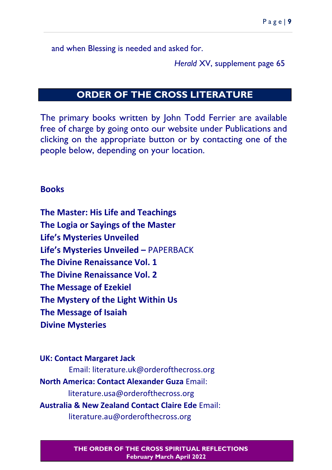and when Blessing is needed and asked for.

#### *Herald* XV, supplement page 65

# **ORDER OF THE CROSS LITERATURE**

The primary books written by John Todd Ferrier are available free of charge by going onto our website under Publications and clicking on the appropriate button or by contacting one of the people below, depending on your location.

#### **Books**

**The Master: His Life and Teachings The Logia or Sayings of the Master Life's Mysteries Unveiled Life's Mysteries Unveiled –** PAPERBACK **The Divine Renaissance Vol. 1 The Divine Renaissance Vol. 2 The Message of Ezekiel The Mystery of the Light Within Us The Message of Isaiah Divine Mysteries** 

**UK: Contact Margaret Jack**  Email: literature.uk@orderofthecross.org **North America: Contact Alexander Guza** Email: literature.usa@orderofthecross.org **Australia & New Zealand Contact Claire Ede** Email: literature.au@orderofthecross.org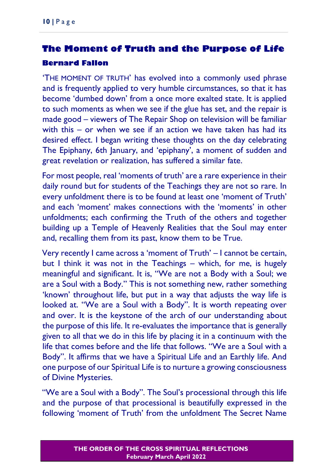### **The Moment of Truth and the Purpose of Life**

#### **Bernard Fallon**

'THE MOMENT OF TRUTH' has evolved into a commonly used phrase and is frequently applied to very humble circumstances, so that it has become 'dumbed down' from a once more exalted state. It is applied to such moments as when we see if the glue has set, and the repair is made good – viewers of The Repair Shop on television will be familiar with this – or when we see if an action we have taken has had its desired effect. I began writing these thoughts on the day celebrating The Epiphany, 6th January, and 'epiphany', a moment of sudden and great revelation or realization, has suffered a similar fate.

For most people, real 'moments of truth' are a rare experience in their daily round but for students of the Teachings they are not so rare. In every unfoldment there is to be found at least one 'moment of Truth' and each 'moment' makes connections with the 'moments' in other unfoldments; each confirming the Truth of the others and together building up a Temple of Heavenly Realities that the Soul may enter and, recalling them from its past, know them to be True.

Very recently I came across a 'moment of Truth' – I cannot be certain, but I think it was not in the Teachings – which, for me, is hugely meaningful and significant. It is, "We are not a Body with a Soul; we are a Soul with a Body." This is not something new, rather something 'known' throughout life, but put in a way that adjusts the way life is looked at. "We are a Soul with a Body". It is worth repeating over and over. It is the keystone of the arch of our understanding about the purpose of this life. It re-evaluates the importance that is generally given to all that we do in this life by placing it in a continuum with the life that comes before and the life that follows. "We are a Soul with a Body". It affirms that we have a Spiritual Life and an Earthly life. And one purpose of our Spiritual Life is to nurture a growing consciousness of Divine Mysteries.

"We are a Soul with a Body". The Soul's processional through this life and the purpose of that processional is beautifully expressed in the following 'moment of Truth' from the unfoldment The Secret Name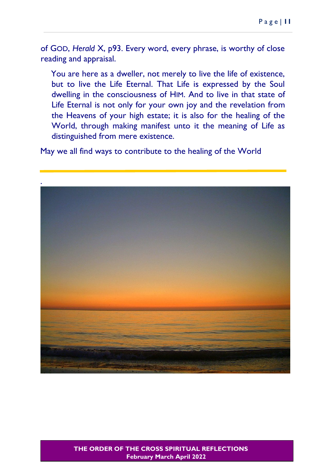of GOD, *Herald* X, p93. Every word, every phrase, is worthy of close reading and appraisal.

You are here as a dweller, not merely to live the life of existence, but to live the Life Eternal. That Life is expressed by the Soul dwelling in the consciousness of HIM. And to live in that state of Life Eternal is not only for your own joy and the revelation from the Heavens of your high estate; it is also for the healing of the World, through making manifest unto it the meaning of Life as distinguished from mere existence.

May we all find ways to contribute to the healing of the World



 **THE ORDER OF THE CROSS SPIRITUAL REFLECTIONS February March April 2022**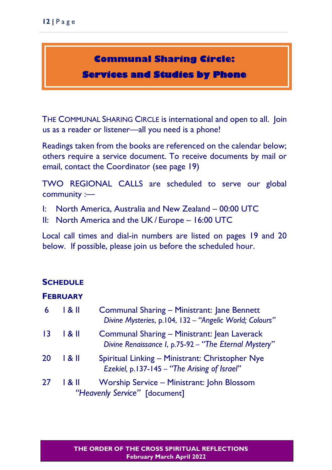# **Communal Sharing Circle:**

## **Services and Studies by Phone**

THE COMMUNAL SHARING CIRCLE is international and open to all. Join us as a reader or listener—all you need is a phone!

Readings taken from the books are referenced on the calendar below; others require a service document. To receive documents by mail or email, contact the Coordinator (see page 19)

TWO REGIONAL CALLS are scheduled to serve our global community :—

- I: North America, Australia and New Zealand 00:00 UTC
- II: North America and the UK / Europe 16:00 UTC

Local call times and dial-in numbers are listed on pages 19 and 20 below. If possible, please join us before the scheduled hour.

## **SCHEDULE**

#### **FEBRUARY**

| 6               | 181    | Communal Sharing - Ministrant: Jane Bennett<br>Divine Mysteries, p.104, 132 - "Angelic World; Colours" |
|-----------------|--------|--------------------------------------------------------------------------------------------------------|
| $\overline{13}$ | 1 & II | Communal Sharing - Ministrant: Jean Laverack<br>Divine Renaissance I, p.75-92 - "The Eternal Mystery"  |
| 20              | 1 & II | Spiritual Linking - Ministrant: Christopher Nye<br>Ezekiel, p.137-145 - "The Arising of Israel"        |
| 27              | 1 & II | Worship Service - Ministrant: John Blossom<br>"Heavenly Service" [document]                            |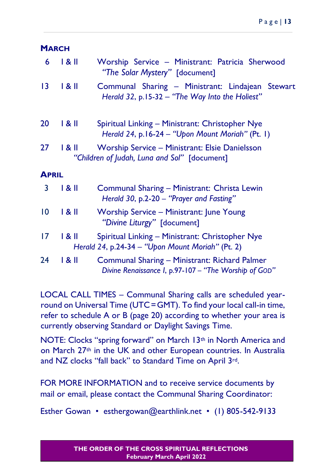#### **MARCH**

| 6               | 1 & II | Worship Service - Ministrant: Patricia Sherwood<br>"The Solar Mystery" [document]                      |
|-----------------|--------|--------------------------------------------------------------------------------------------------------|
| $\overline{13}$ | 1 & II | Communal Sharing - Ministrant: Lindajean Stewart<br>Herald 32, p.15-32 – "The Way Into the Holiest"    |
| 20              | 1 & II | Spiritual Linking - Ministrant: Christopher Nye<br>Herald 24, p.16-24 - "Upon Mount Moriah" (Pt. 1)    |
| 27              | 181    | <b>Worship Service - Ministrant: Elsie Danielsson</b><br>"Children of Judah, Luna and Sol" [document]  |
| <b>APRIL</b>    |        |                                                                                                        |
| 3               | 181    | Communal Sharing - Ministrant: Christa Lewin<br>Herald 30, p.2-20 - "Prayer and Fasting"               |
| $\overline{10}$ | 181    | <b>Worship Service - Ministrant: June Young</b><br>"Divine Liturgy" [document]                         |
| 17              | 181    | Spiritual Linking - Ministrant: Christopher Nye<br>Herald 24, p.24-34 - "Upon Mount Moriah" (Pt. 2)    |
| 24              | 1 & II | Communal Sharing – Ministrant: Richard Palmer<br>Divine Renaissance I, p.97-107 - "The Worship of GOD" |

LOCAL CALL TIMES – Communal Sharing calls are scheduled yearround on Universal Time (UTC=GMT). To find your local call-in time, refer to schedule A or B (page 20) according to whether your area is currently observing Standard or Daylight Savings Time.

NOTE: Clocks "spring forward" on March 13th in North America and on March 27<sup>th</sup> in the UK and other European countries. In Australia and NZ clocks "fall back" to Standard Time on April 3rd.

FOR MORE INFORMATION and to receive service documents by mail or email, please contact the Communal Sharing Coordinator:

Esther Gowan • esthergowan@earthlink.net • (1) 805-542-9133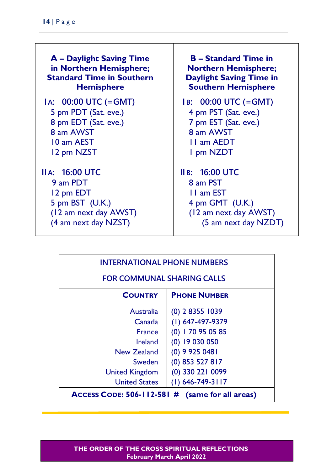| <b>A</b> – Daylight Saving Time  | <b>B</b> – Standard Time in    |
|----------------------------------|--------------------------------|
| in Northern Hemisphere;          | <b>Northern Hemisphere;</b>    |
| <b>Standard Time in Southern</b> | <b>Daylight Saving Time in</b> |
| <b>Hemisphere</b>                | <b>Southern Hemisphere</b>     |
| $IA: 00:00$ UTC (=GMT)           | $IB: 00:00$ UTC (=GMT)         |
| 5 pm PDT (Sat. eve.)             | 4 pm PST (Sat. eve.)           |
| 8 pm EDT (Sat. eve.)             | 7 pm EST (Sat. eve.)           |
| 8 am AWST                        | 8 am AWST                      |
| 10 am AEST                       | 11 am AEDT                     |
| 12 pm NZST                       | I pm NZDT                      |
| II A: 16:00 UTC                  | II B: 16:00 UTC                |
| 9 am PDT                         | 8 am PST                       |
| 12 pm EDT                        | 11 am EST                      |
| 5 pm BST (U.K.)                  | 4 pm GMT (U.K.)                |
| (12 am next day AWST)            | (12 am next day AWST)          |
| (4 am next day NZST)             | (5 am next day NZDT)           |

| <b>INTERNATIONAL PHONE NUMBERS</b>                        |                     |  |  |  |
|-----------------------------------------------------------|---------------------|--|--|--|
| <b>FOR COMMUNAL SHARING CALLS</b>                         |                     |  |  |  |
| <b>COUNTRY</b>                                            | <b>PHONE NUMBER</b> |  |  |  |
| Australia                                                 | (0) 2 8355 1039     |  |  |  |
| Canada                                                    | $(1)$ 647-497-9379  |  |  |  |
| <b>France</b>                                             | (0) 1 70 95 05 85   |  |  |  |
| Ireland                                                   | $(0)$ 19 030 050    |  |  |  |
| New Zealand                                               | $(0)$ 9 925 0481    |  |  |  |
| Sweden                                                    | (0) 853 527 817     |  |  |  |
| <b>United Kingdom</b>                                     | (0) 330 221 0099    |  |  |  |
| <b>United States</b>                                      | $(1)$ 646-749-3117  |  |  |  |
| <b>ACCESS CODE: 506-112-581 #</b><br>(same for all areas) |                     |  |  |  |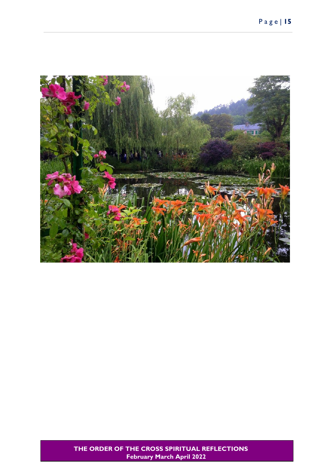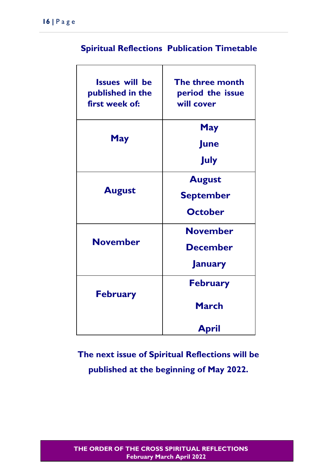### **Spiritual Reflections Publication Timetable**

| <b>Issues will be</b><br>published in the<br>first week of: | The three month<br>period the issue<br>will cover |
|-------------------------------------------------------------|---------------------------------------------------|
|                                                             | May                                               |
| May                                                         | June                                              |
|                                                             | <b>July</b>                                       |
|                                                             | <b>August</b>                                     |
| <b>August</b>                                               | <b>September</b>                                  |
|                                                             | <b>October</b>                                    |
|                                                             | <b>November</b>                                   |
| <b>November</b>                                             | <b>December</b>                                   |
|                                                             | <b>January</b>                                    |
|                                                             | <b>February</b>                                   |
| <b>February</b>                                             | <b>March</b>                                      |
|                                                             | April                                             |

**The next issue of Spiritual Reflections will be published at the beginning of May 2022.**